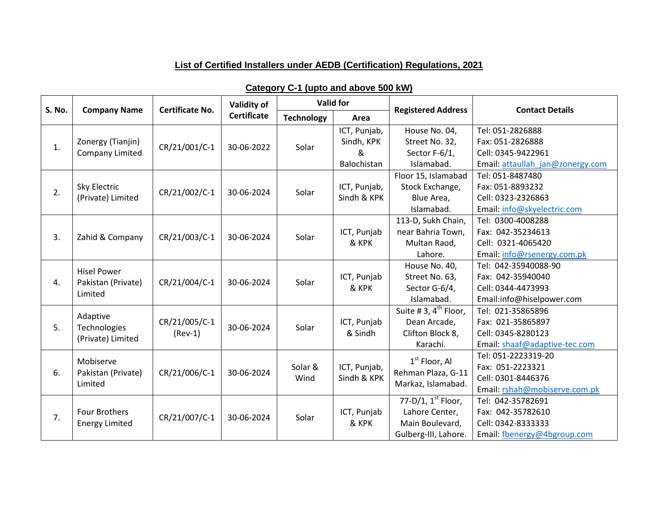## **List of Certified Installers under AEDB (Certification) Regulations, 2021**

| <b>S. No.</b> |                                                     | <b>Valid for</b><br>Validity of<br><b>Certificate No.</b> |                    |                   |                                            | <b>Contact Details</b>                                                               |                                                                                                                               |
|---------------|-----------------------------------------------------|-----------------------------------------------------------|--------------------|-------------------|--------------------------------------------|--------------------------------------------------------------------------------------|-------------------------------------------------------------------------------------------------------------------------------|
|               | <b>Company Name</b>                                 |                                                           | <b>Certificate</b> | <b>Technology</b> | Area                                       | <b>Registered Address</b>                                                            |                                                                                                                               |
| 1.            | Zonergy (Tianjin)<br>Company Limited                | CR/21/001/C-1                                             | 30-06-2022         | Solar             | ICT, Punjab,<br>Sindh, KPK<br>&            | House No. 04,<br>Street No. 32,<br>Sector F-6/1,                                     | Tel: 051-2826888<br>Fax: 051-2826888<br>Cell: 0345-9422961                                                                    |
| 2.            | Sky Electric<br>(Private) Limited                   | CR/21/002/C-1                                             | 30-06-2024         | Solar             | Balochistan<br>ICT, Punjab,<br>Sindh & KPK | Islamabad.<br>Floor 15, Islamabad<br>Stock Exchange,<br>Blue Area,<br>Islamabad.     | Email: attaullah jan@zonergy.com<br>Tel: 051-8487480<br>Fax: 051-8893232<br>Cell: 0323-2326863<br>Email: info@skyelectric.com |
| 3.            | Zahid & Company                                     | CR/21/003/C-1                                             | 30-06-2024         | Solar             | ICT, Punjab<br>& KPK                       | 113-D, Sukh Chain,<br>near Bahria Town,<br>Multan Raod,<br>Lahore.                   | Tel: 0300-4008288<br>Fax: 042-35234613<br>Cell: 0321-4065420<br>Email: info@rsenergy.com.pk                                   |
| 4.            | <b>Hisel Power</b><br>Pakistan (Private)<br>Limited | CR/21/004/C-1                                             | 30-06-2024         | Solar             | ICT, Punjab<br>& KPK                       | House No. 40,<br>Street No. 63,<br>Sector G-6/4,<br>Islamabad.                       | Tel: 042-35940088-90<br>Fax: 042-35940040<br>Cell: 0344-4473993<br>Email:info@hiselpower.com                                  |
| 5.            | Adaptive<br>Technologies<br>(Private) Limited       | CR/21/005/C-1<br>$(Rev-1)$                                | 30-06-2024         | Solar             | ICT, Punjab<br>& Sindh                     | Suite #3, $4^{\text{th}}$ Floor,<br>Dean Arcade,<br>Clifton Block 8,<br>Karachi.     | Tel: 021-35865896<br>Fax: 021-35865897<br>Cell: 0345-8280123<br>Email: shaaf@adaptive-tec.com                                 |
| 6.            | Mobiserve<br>Pakistan (Private)<br>Limited          | CR/21/006/C-1                                             | 30-06-2024         | Solar &<br>Wind   | ICT, Punjab,<br>Sindh & KPK                | $1st$ Floor, Al<br>Rehman Plaza, G-11<br>Markaz, Islamabad.                          | Tel: 051-2223319-20<br>Fax: 051-2223321<br>Cell: 0301-8446376<br>Email: rshah@mobiserve.com.pk                                |
| 7.            | <b>Four Brothers</b><br><b>Energy Limited</b>       | CR/21/007/C-1                                             | 30-06-2024         | Solar             | ICT, Punjab<br>& KPK                       | 77-D/1, $1^{st}$ Floor,<br>Lahore Center,<br>Main Boulevard,<br>Gulberg-III, Lahore. | Tel: 042-35782691<br>Fax: 042-35782610<br>Cell: 0342-8333333<br>Email: fbenergy@4bgroup.com                                   |

## **Category C-1 (upto and above 500 kW)**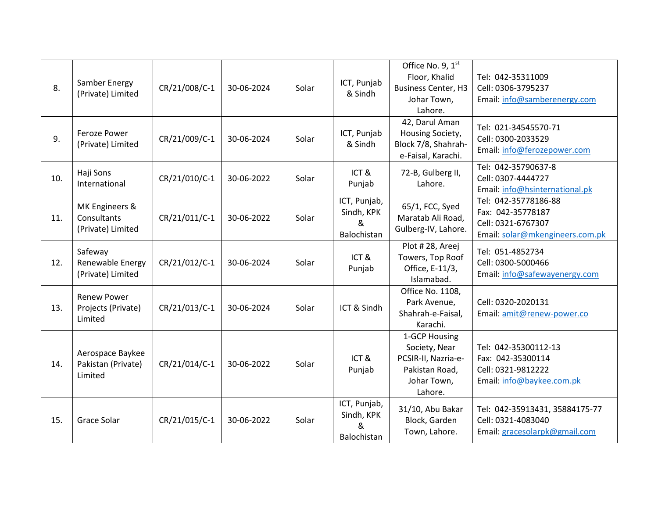| 8.  | Samber Energy<br>(Private) Limited                  | CR/21/008/C-1 | 30-06-2024 | Solar | ICT, Punjab<br>& Sindh                         | Office No. 9, 1st<br>Floor, Khalid<br><b>Business Center, H3</b><br>Johar Town,<br>Lahore.        | Tel: 042-35311009<br>Cell: 0306-3795237<br>Email: info@samberenergy.com                            |
|-----|-----------------------------------------------------|---------------|------------|-------|------------------------------------------------|---------------------------------------------------------------------------------------------------|----------------------------------------------------------------------------------------------------|
| 9.  | Feroze Power<br>(Private) Limited                   | CR/21/009/C-1 | 30-06-2024 | Solar | ICT, Punjab<br>& Sindh                         | 42, Darul Aman<br>Housing Society,<br>Block 7/8, Shahrah-<br>e-Faisal, Karachi.                   | Tel: 021-34545570-71<br>Cell: 0300-2033529<br>Email: info@ferozepower.com                          |
| 10. | Haji Sons<br>International                          | CR/21/010/C-1 | 30-06-2022 | Solar | ICT&<br>Punjab                                 | 72-B, Gulberg II,<br>Lahore.                                                                      | Tel: 042-35790637-8<br>Cell: 0307-4444727<br>Email: info@hsinternational.pk                        |
| 11. | MK Engineers &<br>Consultants<br>(Private) Limited  | CR/21/011/C-1 | 30-06-2022 | Solar | ICT, Punjab,<br>Sindh, KPK<br>&<br>Balochistan | 65/1, FCC, Syed<br>Maratab Ali Road,<br>Gulberg-IV, Lahore.                                       | Tel: 042-35778186-88<br>Fax: 042-35778187<br>Cell: 0321-6767307<br>Email: solar@mkengineers.com.pk |
| 12. | Safeway<br>Renewable Energy<br>(Private) Limited    | CR/21/012/C-1 | 30-06-2024 | Solar | ICT&<br>Punjab                                 | Plot #28, Areej<br>Towers, Top Roof<br>Office, E-11/3,<br>Islamabad.                              | Tel: 051-4852734<br>Cell: 0300-5000466<br>Email: info@safewayenergy.com                            |
| 13. | <b>Renew Power</b><br>Projects (Private)<br>Limited | CR/21/013/C-1 | 30-06-2024 | Solar | ICT & Sindh                                    | Office No. 1108,<br>Park Avenue,<br>Shahrah-e-Faisal,<br>Karachi.                                 | Cell: 0320-2020131<br>Email: amit@renew-power.co                                                   |
| 14. | Aerospace Baykee<br>Pakistan (Private)<br>Limited   | CR/21/014/C-1 | 30-06-2022 | Solar | ICT&<br>Punjab                                 | 1-GCP Housing<br>Society, Near<br>PCSIR-II, Nazria-e-<br>Pakistan Road,<br>Johar Town,<br>Lahore. | Tel: 042-35300112-13<br>Fax: 042-35300114<br>Cell: 0321-9812222<br>Email: info@baykee.com.pk       |
| 15. | Grace Solar                                         | CR/21/015/C-1 | 30-06-2022 | Solar | ICT, Punjab,<br>Sindh, KPK<br>&<br>Balochistan | 31/10, Abu Bakar<br>Block, Garden<br>Town, Lahore.                                                | Tel: 042-35913431, 35884175-77<br>Cell: 0321-4083040<br>Email: gracesolarpk@gmail.com              |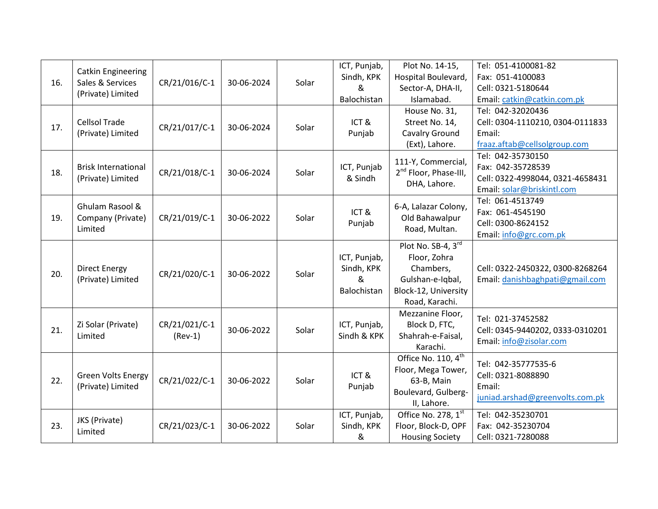|     |                            |               |            |       | ICT, Punjab, | Plot No. 14-15,                   | Tel: 051-4100081-82              |
|-----|----------------------------|---------------|------------|-------|--------------|-----------------------------------|----------------------------------|
|     | <b>Catkin Engineering</b>  |               |            |       | Sindh, KPK   | Hospital Boulevard,               | Fax: 051-4100083                 |
| 16. | Sales & Services           | CR/21/016/C-1 | 30-06-2024 | Solar | &            | Sector-A, DHA-II,                 | Cell: 0321-5180644               |
|     | (Private) Limited          |               |            |       | Balochistan  | Islamabad.                        | Email: catkin@catkin.com.pk      |
|     |                            |               |            |       |              | House No. 31,                     | Tel: 042-32020436                |
| 17. | <b>Cellsol Trade</b>       | CR/21/017/C-1 | 30-06-2024 | Solar | ICT&         | Street No. 14,                    | Cell: 0304-1110210, 0304-0111833 |
|     | (Private) Limited          |               |            |       | Punjab       | <b>Cavalry Ground</b>             | Email:                           |
|     |                            |               |            |       |              | (Ext), Lahore.                    | fraaz.aftab@cellsolgroup.com     |
|     |                            |               |            |       |              | 111-Y, Commercial,                | Tel: 042-35730150                |
| 18. | <b>Brisk International</b> | CR/21/018/C-1 | 30-06-2024 | Solar | ICT, Punjab  | 2 <sup>nd</sup> Floor, Phase-III, | Fax: 042-35728539                |
|     | (Private) Limited          |               |            |       | & Sindh      | DHA, Lahore.                      | Cell: 0322-4998044, 0321-4658431 |
|     |                            |               |            |       |              |                                   | Email: solar@briskintl.com       |
|     | Ghulam Rasool &            |               |            |       |              | 6-A, Lalazar Colony,              | Tel: 061-4513749                 |
| 19. | Company (Private)          | CR/21/019/C-1 | 30-06-2022 | Solar | ICT&         | Old Bahawalpur                    | Fax: 061-4545190                 |
|     | Limited                    |               |            |       | Punjab       | Road, Multan.                     | Cell: 0300-8624152               |
|     |                            |               |            |       |              |                                   | Email: info@grc.com.pk           |
|     |                            |               |            |       |              | Plot No. SB-4, 3rd                |                                  |
|     |                            |               |            |       | ICT, Punjab, | Floor, Zohra                      |                                  |
| 20. | <b>Direct Energy</b>       | CR/21/020/C-1 | 30-06-2022 | Solar | Sindh, KPK   | Chambers,                         | Cell: 0322-2450322, 0300-8268264 |
|     | (Private) Limited          |               |            |       | &            | Gulshan-e-Iqbal,                  | Email: danishbaghpati@gmail.com  |
|     |                            |               |            |       | Balochistan  | Block-12, University              |                                  |
|     |                            |               |            |       |              | Road, Karachi.                    |                                  |
|     |                            |               |            |       |              | Mezzanine Floor,                  | Tel: 021-37452582                |
| 21. | Zi Solar (Private)         | CR/21/021/C-1 | 30-06-2022 | Solar | ICT, Punjab, | Block D, FTC,                     | Cell: 0345-9440202, 0333-0310201 |
|     | Limited                    | $(Rev-1)$     |            |       | Sindh & KPK  | Shahrah-e-Faisal,                 | Email: info@zisolar.com          |
|     |                            |               |            |       |              | Karachi.                          |                                  |
|     |                            |               |            |       |              | Office No. 110, $4^{\text{th}}$   | Tel: 042-35777535-6              |
|     | <b>Green Volts Energy</b>  |               |            |       | ICT&         | Floor, Mega Tower,                | Cell: 0321-8088890               |
| 22. | (Private) Limited          | CR/21/022/C-1 | 30-06-2022 | Solar | Punjab       | 63-B, Main                        | Email:                           |
|     |                            |               |            |       |              | Boulevard, Gulberg-               | juniad.arshad@greenvolts.com.pk  |
|     |                            |               |            |       |              | II, Lahore.                       |                                  |
|     | JKS (Private)              |               |            |       | ICT, Punjab, | Office No. 278, 1st               | Tel: 042-35230701                |
| 23. | Limited                    | CR/21/023/C-1 | 30-06-2022 | Solar | Sindh, KPK   | Floor, Block-D, OPF               | Fax: 042-35230704                |
|     |                            |               |            |       | &            | <b>Housing Society</b>            | Cell: 0321-7280088               |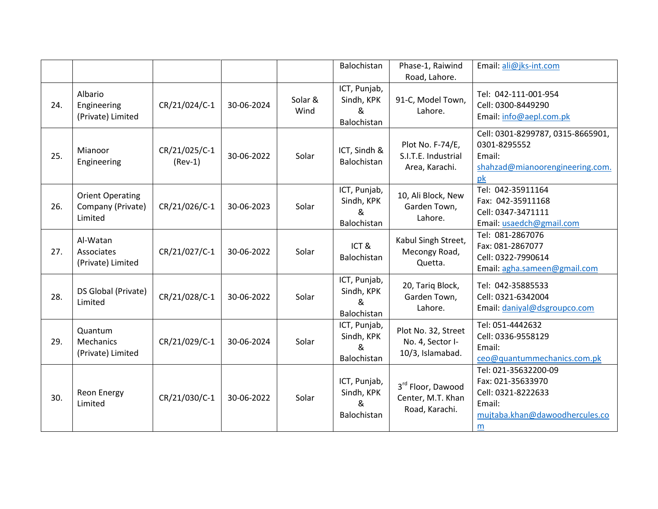|     |                                                         |                            |            |                 | Balochistan                                    | Phase-1, Raiwind                                            | Email: ali@jks-int.com                                                                                           |
|-----|---------------------------------------------------------|----------------------------|------------|-----------------|------------------------------------------------|-------------------------------------------------------------|------------------------------------------------------------------------------------------------------------------|
|     |                                                         |                            |            |                 |                                                | Road, Lahore.                                               |                                                                                                                  |
| 24. | Albario<br>Engineering<br>(Private) Limited             | CR/21/024/C-1              | 30-06-2024 | Solar &<br>Wind | ICT, Punjab,<br>Sindh, KPK<br>&<br>Balochistan | 91-C, Model Town,<br>Lahore.                                | Tel: 042-111-001-954<br>Cell: 0300-8449290<br>Email: info@aepl.com.pk                                            |
| 25. | Mianoor<br>Engineering                                  | CR/21/025/C-1<br>$(Rev-1)$ | 30-06-2022 | Solar           | ICT, Sindh &<br>Balochistan                    | Plot No. F-74/E,<br>S.I.T.E. Industrial<br>Area, Karachi.   | Cell: 0301-8299787, 0315-8665901,<br>0301-8295552<br>Email:<br>shahzad@mianoorengineering.com.<br>pk             |
| 26. | <b>Orient Operating</b><br>Company (Private)<br>Limited | CR/21/026/C-1              | 30-06-2023 | Solar           | ICT, Punjab,<br>Sindh, KPK<br>&<br>Balochistan | 10, Ali Block, New<br>Garden Town,<br>Lahore.               | Tel: 042-35911164<br>Fax: 042-35911168<br>Cell: 0347-3471111<br>Email: usaedch@gmail.com                         |
| 27. | Al-Watan<br>Associates<br>(Private) Limited             | CR/21/027/C-1              | 30-06-2022 | Solar           | ICT&<br>Balochistan                            | Kabul Singh Street,<br>Mecongy Road,<br>Quetta.             | Tel: 081-2867076<br>Fax: 081-2867077<br>Cell: 0322-7990614<br>Email: agha.sameen@gmail.com                       |
| 28. | DS Global (Private)<br>Limited                          | CR/21/028/C-1              | 30-06-2022 | Solar           | ICT, Punjab,<br>Sindh, KPK<br>&<br>Balochistan | 20, Tariq Block,<br>Garden Town,<br>Lahore.                 | Tel: 042-35885533<br>Cell: 0321-6342004<br>Email: daniyal@dsgroupco.com                                          |
| 29. | Quantum<br>Mechanics<br>(Private) Limited               | CR/21/029/C-1              | 30-06-2024 | Solar           | ICT, Punjab,<br>Sindh, KPK<br>&<br>Balochistan | Plot No. 32, Street<br>No. 4, Sector I-<br>10/3, Islamabad. | Tel: 051-4442632<br>Cell: 0336-9558129<br>Email:<br>ceo@quantummechanics.com.pk                                  |
| 30. | <b>Reon Energy</b><br>Limited                           | CR/21/030/C-1              | 30-06-2022 | Solar           | ICT, Punjab,<br>Sindh, KPK<br>&<br>Balochistan | 3rd Floor, Dawood<br>Center, M.T. Khan<br>Road, Karachi.    | Tel: 021-35632200-09<br>Fax: 021-35633970<br>Cell: 0321-8222633<br>Email:<br>mujtaba.khan@dawoodhercules.co<br>m |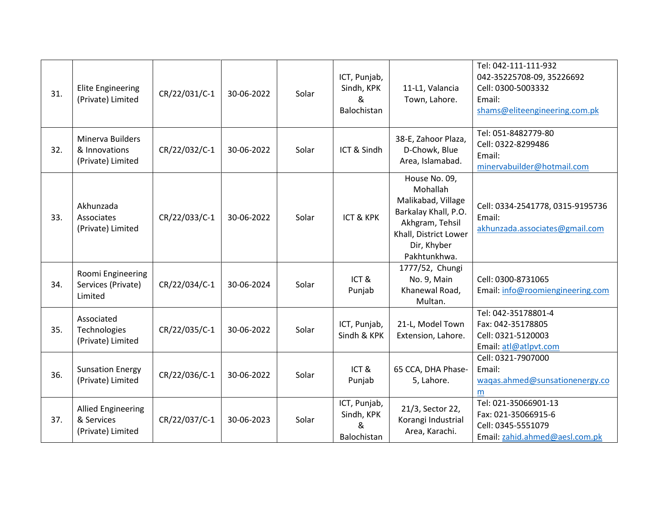| 31. | <b>Elite Engineering</b><br>(Private) Limited                | CR/22/031/C-1 | 30-06-2022 | Solar | ICT, Punjab,<br>Sindh, KPK<br>&<br>Balochistan | 11-L1, Valancia<br>Town, Lahore.                                                                                                                   | Tel: 042-111-111-932<br>042-35225708-09, 35226692<br>Cell: 0300-5003332<br>Email:<br>shams@eliteengineering.com.pk |
|-----|--------------------------------------------------------------|---------------|------------|-------|------------------------------------------------|----------------------------------------------------------------------------------------------------------------------------------------------------|--------------------------------------------------------------------------------------------------------------------|
| 32. | Minerva Builders<br>& Innovations<br>(Private) Limited       | CR/22/032/C-1 | 30-06-2022 | Solar | ICT & Sindh                                    | 38-E, Zahoor Plaza,<br>D-Chowk, Blue<br>Area, Islamabad.                                                                                           | Tel: 051-8482779-80<br>Cell: 0322-8299486<br>Email:<br>minervabuilder@hotmail.com                                  |
| 33. | Akhunzada<br>Associates<br>(Private) Limited                 | CR/22/033/C-1 | 30-06-2022 | Solar | <b>ICT &amp; KPK</b>                           | House No. 09,<br>Mohallah<br>Malikabad, Village<br>Barkalay Khall, P.O.<br>Akhgram, Tehsil<br>Khall, District Lower<br>Dir, Khyber<br>Pakhtunkhwa. | Cell: 0334-2541778, 0315-9195736<br>Email:<br>akhunzada.associates@gmail.com                                       |
| 34. | Roomi Engineering<br>Services (Private)<br>Limited           | CR/22/034/C-1 | 30-06-2024 | Solar | ICT&<br>Punjab                                 | 1777/52, Chungi<br>No. 9, Main<br>Khanewal Road,<br>Multan.                                                                                        | Cell: 0300-8731065<br>Email: info@roomiengineering.com                                                             |
| 35. | Associated<br>Technologies<br>(Private) Limited              | CR/22/035/C-1 | 30-06-2022 | Solar | ICT, Punjab,<br>Sindh & KPK                    | 21-L, Model Town<br>Extension, Lahore.                                                                                                             | Tel: 042-35178801-4<br>Fax: 042-35178805<br>Cell: 0321-5120003<br>Email: atl@atlpvt.com                            |
| 36. | <b>Sunsation Energy</b><br>(Private) Limited                 | CR/22/036/C-1 | 30-06-2022 | Solar | ICT&<br>Punjab                                 | 65 CCA, DHA Phase-<br>5, Lahore.                                                                                                                   | Cell: 0321-7907000<br>Email:<br>waqas.ahmed@sunsationenergy.co<br>m                                                |
| 37. | <b>Allied Engineering</b><br>& Services<br>(Private) Limited | CR/22/037/C-1 | 30-06-2023 | Solar | ICT, Punjab,<br>Sindh, KPK<br>&<br>Balochistan | 21/3, Sector 22,<br>Korangi Industrial<br>Area, Karachi.                                                                                           | Tel: 021-35066901-13<br>Fax: 021-35066915-6<br>Cell: 0345-5551079<br>Email: zahid.ahmed@aesl.com.pk                |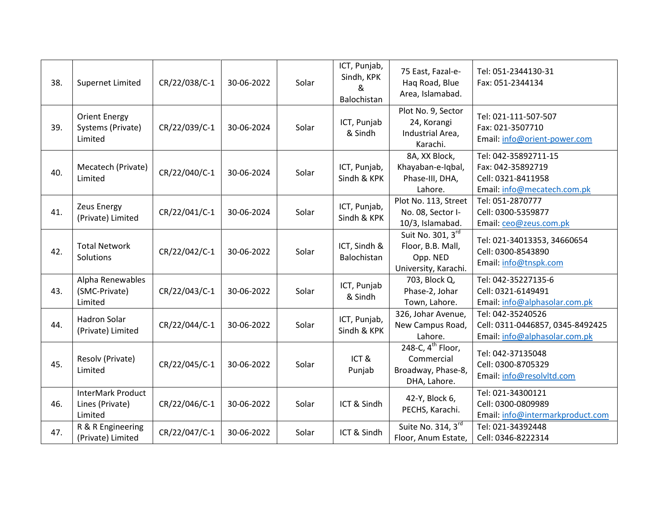| 38. | Supernet Limited                                     | CR/22/038/C-1 | 30-06-2022 | Solar | ICT, Punjab,<br>Sindh, KPK<br>&<br>Balochistan | 75 East, Fazal-e-<br>Haq Road, Blue<br>Area, Islamabad.                           | Tel: 051-2344130-31<br>Fax: 051-2344134                                                        |
|-----|------------------------------------------------------|---------------|------------|-------|------------------------------------------------|-----------------------------------------------------------------------------------|------------------------------------------------------------------------------------------------|
| 39. | <b>Orient Energy</b><br>Systems (Private)<br>Limited | CR/22/039/C-1 | 30-06-2024 | Solar | ICT, Punjab<br>& Sindh                         | Plot No. 9, Sector<br>24, Korangi<br>Industrial Area,<br>Karachi.                 | Tel: 021-111-507-507<br>Fax: 021-3507710<br>Email: info@orient-power.com                       |
| 40. | Mecatech (Private)<br>Limited                        | CR/22/040/C-1 | 30-06-2024 | Solar | ICT, Punjab,<br>Sindh & KPK                    | 8A, XX Block,<br>Khayaban-e-Iqbal,<br>Phase-III, DHA,<br>Lahore.                  | Tel: 042-35892711-15<br>Fax: 042-35892719<br>Cell: 0321-8411958<br>Email: info@mecatech.com.pk |
| 41. | <b>Zeus Energy</b><br>(Private) Limited              | CR/22/041/C-1 | 30-06-2024 | Solar | ICT, Punjab,<br>Sindh & KPK                    | Plot No. 113, Street<br>No. 08, Sector I-<br>10/3, Islamabad.                     | Tel: 051-2870777<br>Cell: 0300-5359877<br>Email: ceo@zeus.com.pk                               |
| 42. | <b>Total Network</b><br>Solutions                    | CR/22/042/C-1 | 30-06-2022 | Solar | ICT, Sindh &<br>Balochistan                    | Suit No. 301, 3rd<br>Floor, B.B. Mall,<br>Opp. NED<br>University, Karachi.        | Tel: 021-34013353, 34660654<br>Cell: 0300-8543890<br>Email: info@tnspk.com                     |
| 43. | Alpha Renewables<br>(SMC-Private)<br>Limited         | CR/22/043/C-1 | 30-06-2022 | Solar | ICT, Punjab<br>& Sindh                         | 703, Block Q,<br>Phase-2, Johar<br>Town, Lahore.                                  | Tel: 042-35227135-6<br>Cell: 0321-6149491<br>Email: info@alphasolar.com.pk                     |
| 44. | <b>Hadron Solar</b><br>(Private) Limited             | CR/22/044/C-1 | 30-06-2022 | Solar | ICT, Punjab,<br>Sindh & KPK                    | 326, Johar Avenue,<br>New Campus Road,<br>Lahore.                                 | Tel: 042-35240526<br>Cell: 0311-0446857, 0345-8492425<br>Email: info@alphasolar.com.pk         |
| 45. | Resolv (Private)<br>Limited                          | CR/22/045/C-1 | 30-06-2022 | Solar | ICT&<br>Punjab                                 | 248-C, 4 <sup>th</sup> Floor,<br>Commercial<br>Broadway, Phase-8,<br>DHA, Lahore. | Tel: 042-37135048<br>Cell: 0300-8705329<br>Email: info@resolvltd.com                           |
| 46. | InterMark Product<br>Lines (Private)<br>Limited      | CR/22/046/C-1 | 30-06-2022 | Solar | ICT & Sindh                                    | 42-Y, Block 6,<br>PECHS, Karachi.                                                 | Tel: 021-34300121<br>Cell: 0300-0809989<br>Email: info@intermarkproduct.com                    |
| 47. | R & R Engineering<br>(Private) Limited               | CR/22/047/C-1 | 30-06-2022 | Solar | ICT & Sindh                                    | Suite No. 314, 3rd<br>Floor, Anum Estate,                                         | Tel: 021-34392448<br>Cell: 0346-8222314                                                        |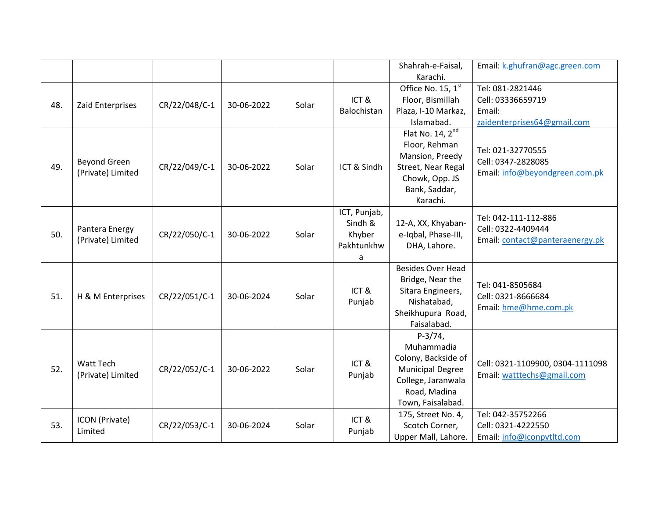|     |                                          |               |            |       |                                                      | Shahrah-e-Faisal,                                                                                                                    | Email: k.ghufran@agc.green.com                                                 |
|-----|------------------------------------------|---------------|------------|-------|------------------------------------------------------|--------------------------------------------------------------------------------------------------------------------------------------|--------------------------------------------------------------------------------|
|     |                                          |               |            |       |                                                      | Karachi.                                                                                                                             |                                                                                |
| 48. | Zaid Enterprises                         | CR/22/048/C-1 | 30-06-2022 | Solar | ICT&<br>Balochistan                                  | Office No. 15, 1st<br>Floor, Bismillah<br>Plaza, I-10 Markaz,<br>Islamabad.                                                          | Tel: 081-2821446<br>Cell: 03336659719<br>Email:<br>zaidenterprises64@gmail.com |
| 49. | <b>Beyond Green</b><br>(Private) Limited | CR/22/049/C-1 | 30-06-2022 | Solar | ICT & Sindh                                          | Flat No. $14, 2^{nd}$<br>Floor, Rehman<br>Mansion, Preedy<br>Street, Near Regal<br>Chowk, Opp. JS<br>Bank, Saddar,<br>Karachi.       | Tel: 021-32770555<br>Cell: 0347-2828085<br>Email: info@beyondgreen.com.pk      |
| 50. | Pantera Energy<br>(Private) Limited      | CR/22/050/C-1 | 30-06-2022 | Solar | ICT, Punjab,<br>Sindh &<br>Khyber<br>Pakhtunkhw<br>a | 12-A, XX, Khyaban-<br>e-Iqbal, Phase-III,<br>DHA, Lahore.                                                                            | Tel: 042-111-112-886<br>Cell: 0322-4409444<br>Email: contact@panteraenergy.pk  |
| 51. | H & M Enterprises                        | CR/22/051/C-1 | 30-06-2024 | Solar | ICT&<br>Punjab                                       | <b>Besides Over Head</b><br>Bridge, Near the<br>Sitara Engineers,<br>Nishatabad,<br>Sheikhupura Road,<br>Faisalabad.                 | Tel: 041-8505684<br>Cell: 0321-8666684<br>Email: hme@hme.com.pk                |
| 52. | <b>Watt Tech</b><br>(Private) Limited    | CR/22/052/C-1 | 30-06-2022 | Solar | ICT&<br>Punjab                                       | $P-3/74,$<br>Muhammadia<br>Colony, Backside of<br><b>Municipal Degree</b><br>College, Jaranwala<br>Road, Madina<br>Town, Faisalabad. | Cell: 0321-1109900, 0304-1111098<br>Email: watttechs@gmail.com                 |
| 53. | ICON (Private)<br>Limited                | CR/22/053/C-1 | 30-06-2024 | Solar | ICT&<br>Punjab                                       | 175, Street No. 4,<br>Scotch Corner,<br>Upper Mall, Lahore.                                                                          | Tel: 042-35752266<br>Cell: 0321-4222550<br>Email: info@iconpvtltd.com          |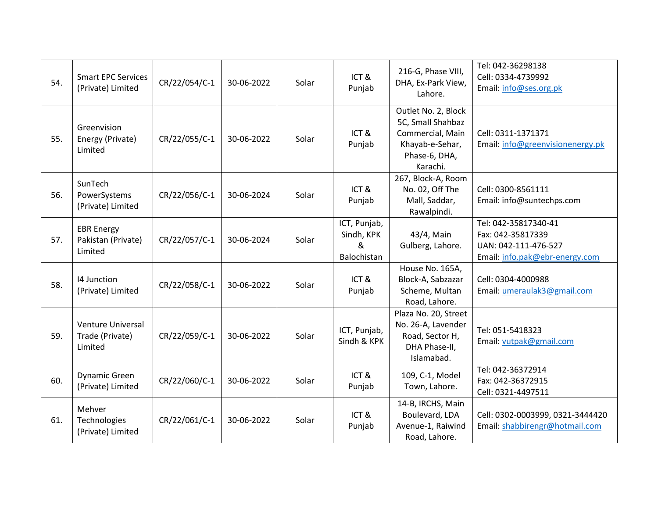| 54. | <b>Smart EPC Services</b><br>(Private) Limited         | CR/22/054/C-1 | 30-06-2022 | Solar | ICT&<br>Punjab                                 | 216-G, Phase VIII,<br>DHA, Ex-Park View,<br>Lahore.                                                          | Tel: 042-36298138<br>Cell: 0334-4739992<br>Email: info@ses.org.pk                                   |
|-----|--------------------------------------------------------|---------------|------------|-------|------------------------------------------------|--------------------------------------------------------------------------------------------------------------|-----------------------------------------------------------------------------------------------------|
| 55. | Greenvision<br>Energy (Private)<br>Limited             | CR/22/055/C-1 | 30-06-2022 | Solar | ICT&<br>Punjab                                 | Outlet No. 2, Block<br>5C, Small Shahbaz<br>Commercial, Main<br>Khayab-e-Sehar,<br>Phase-6, DHA,<br>Karachi. | Cell: 0311-1371371<br>Email: info@greenvisionenergy.pk                                              |
| 56. | SunTech<br>PowerSystems<br>(Private) Limited           | CR/22/056/C-1 | 30-06-2024 | Solar | ICT&<br>Punjab                                 | 267, Block-A, Room<br>No. 02, Off The<br>Mall, Saddar,<br>Rawalpindi.                                        | Cell: 0300-8561111<br>Email: info@suntechps.com                                                     |
| 57. | <b>EBR Energy</b><br>Pakistan (Private)<br>Limited     | CR/22/057/C-1 | 30-06-2024 | Solar | ICT, Punjab,<br>Sindh, KPK<br>&<br>Balochistan | 43/4, Main<br>Gulberg, Lahore.                                                                               | Tel: 042-35817340-41<br>Fax: 042-35817339<br>UAN: 042-111-476-527<br>Email: info.pak@ebr-energy.com |
| 58. | 14 Junction<br>(Private) Limited                       | CR/22/058/C-1 | 30-06-2022 | Solar | ICT&<br>Punjab                                 | House No. 165A,<br>Block-A, Sabzazar<br>Scheme, Multan<br>Road, Lahore.                                      | Cell: 0304-4000988<br>Email: umeraulak3@gmail.com                                                   |
| 59. | <b>Venture Universal</b><br>Trade (Private)<br>Limited | CR/22/059/C-1 | 30-06-2022 | Solar | ICT, Punjab,<br>Sindh & KPK                    | Plaza No. 20, Street<br>No. 26-A, Lavender<br>Road, Sector H,<br>DHA Phase-II,<br>Islamabad.                 | Tel: 051-5418323<br>Email: vutpak@gmail.com                                                         |
| 60. | <b>Dynamic Green</b><br>(Private) Limited              | CR/22/060/C-1 | 30-06-2022 | Solar | ICT&<br>Punjab                                 | 109, C-1, Model<br>Town, Lahore.                                                                             | Tel: 042-36372914<br>Fax: 042-36372915<br>Cell: 0321-4497511                                        |
| 61. | Mehver<br>Technologies<br>(Private) Limited            | CR/22/061/C-1 | 30-06-2022 | Solar | ICT&<br>Punjab                                 | 14-B, IRCHS, Main<br>Boulevard, LDA<br>Avenue-1, Raiwind<br>Road, Lahore.                                    | Cell: 0302-0003999, 0321-3444420<br>Email: shabbirengr@hotmail.com                                  |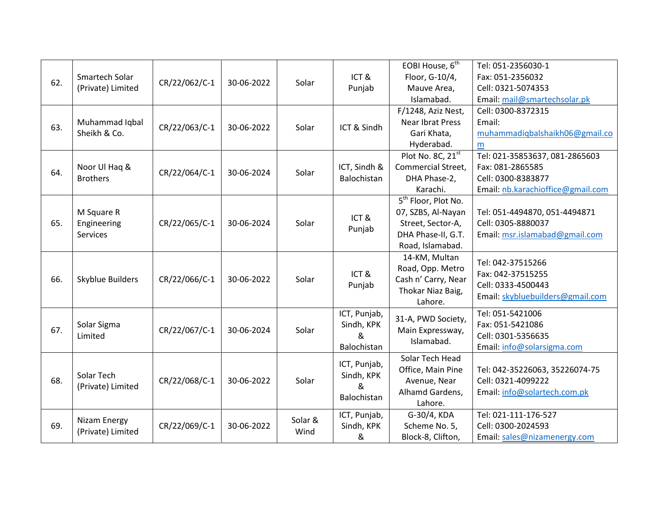|     |                   |               |            |         |                | EOBI House, 6 <sup>th</sup>                | Tel: 051-2356030-1                |
|-----|-------------------|---------------|------------|---------|----------------|--------------------------------------------|-----------------------------------|
|     | Smartech Solar    |               |            |         | ICT&           | Floor, G-10/4,                             | Fax: 051-2356032                  |
| 62. | (Private) Limited | CR/22/062/C-1 | 30-06-2022 | Solar   | Punjab         | Mauve Area,                                | Cell: 0321-5074353                |
|     |                   |               |            |         |                | Islamabad.                                 | Email: mail@smartechsolar.pk      |
|     |                   |               |            |         |                | F/1248, Aziz Nest,                         | Cell: 0300-8372315                |
| 63. | Muhammad Iqbal    | CR/22/063/C-1 | 30-06-2022 | Solar   | ICT & Sindh    | Near Ibrat Press                           | Email:                            |
|     | Sheikh & Co.      |               |            |         |                | Gari Khata,                                | muhammadiqbalshaikh06@gmail.co    |
|     |                   |               |            |         |                | Hyderabad.                                 | m                                 |
|     |                   |               |            |         |                | Plot No. 8C, 21st                          | Tel: 021-35853637, 081-2865603    |
| 64. | Noor Ul Haq &     | CR/22/064/C-1 | 30-06-2024 | Solar   | ICT, Sindh &   | Commercial Street,                         | Fax: 081-2865585                  |
|     | <b>Brothers</b>   |               |            |         | Balochistan    | DHA Phase-2,                               | Cell: 0300-8383877                |
|     |                   |               |            |         |                | Karachi.                                   | Email: nb.karachioffice@gmail.com |
|     |                   |               |            |         |                | $\overline{5}^{\text{th}}$ Floor, Plot No. |                                   |
|     | M Square R        |               |            |         | ICT&           | 07, SZBS, Al-Nayan                         | Tel: 051-4494870, 051-4494871     |
| 65. | Engineering       | CR/22/065/C-1 | 30-06-2024 | Solar   |                | Street, Sector-A,                          | Cell: 0305-8880037                |
|     | <b>Services</b>   |               |            |         | Punjab         | DHA Phase-II, G.T.                         | Email: msr.islamabad@gmail.com    |
|     |                   |               |            |         |                | Road, Islamabad.                           |                                   |
|     |                   |               |            |         |                | 14-KM, Multan                              | Tel: 042-37515266                 |
|     | Skyblue Builders  | CR/22/066/C-1 | 30-06-2022 | Solar   | ICT&<br>Punjab | Road, Opp. Metro                           | Fax: 042-37515255                 |
| 66. |                   |               |            |         |                | Cash n' Carry, Near                        | Cell: 0333-4500443                |
|     |                   |               |            |         |                | Thokar Niaz Baig,                          | Email: skybluebuilders@gmail.com  |
|     |                   |               |            |         |                | Lahore.                                    |                                   |
|     |                   |               |            |         | ICT, Punjab,   | 31-A, PWD Society,                         | Tel: 051-5421006                  |
| 67. | Solar Sigma       | CR/22/067/C-1 | 30-06-2024 | Solar   | Sindh, KPK     | Main Expressway,                           | Fax: 051-5421086                  |
|     | Limited           |               |            |         | &              | Islamabad.                                 | Cell: 0301-5356635                |
|     |                   |               |            |         | Balochistan    |                                            | Email: info@solarsigma.com        |
|     |                   |               |            |         | ICT, Punjab,   | Solar Tech Head                            |                                   |
|     | Solar Tech        |               |            |         | Sindh, KPK     | Office, Main Pine                          | Tel: 042-35226063, 35226074-75    |
| 68. | (Private) Limited | CR/22/068/C-1 | 30-06-2022 | Solar   | &              | Avenue, Near                               | Cell: 0321-4099222                |
|     |                   |               |            |         | Balochistan    | Alhamd Gardens,                            | Email: info@solartech.com.pk      |
|     |                   |               |            |         |                | Lahore.                                    |                                   |
|     | Nizam Energy      |               |            | Solar & | ICT, Punjab,   | G-30/4, KDA                                | Tel: 021-111-176-527              |
| 69. | (Private) Limited | CR/22/069/C-1 | 30-06-2022 | Wind    | Sindh, KPK     | Scheme No. 5,                              | Cell: 0300-2024593                |
|     |                   |               |            |         | &              | Block-8, Clifton,                          | Email: sales@nizamenergy.com      |